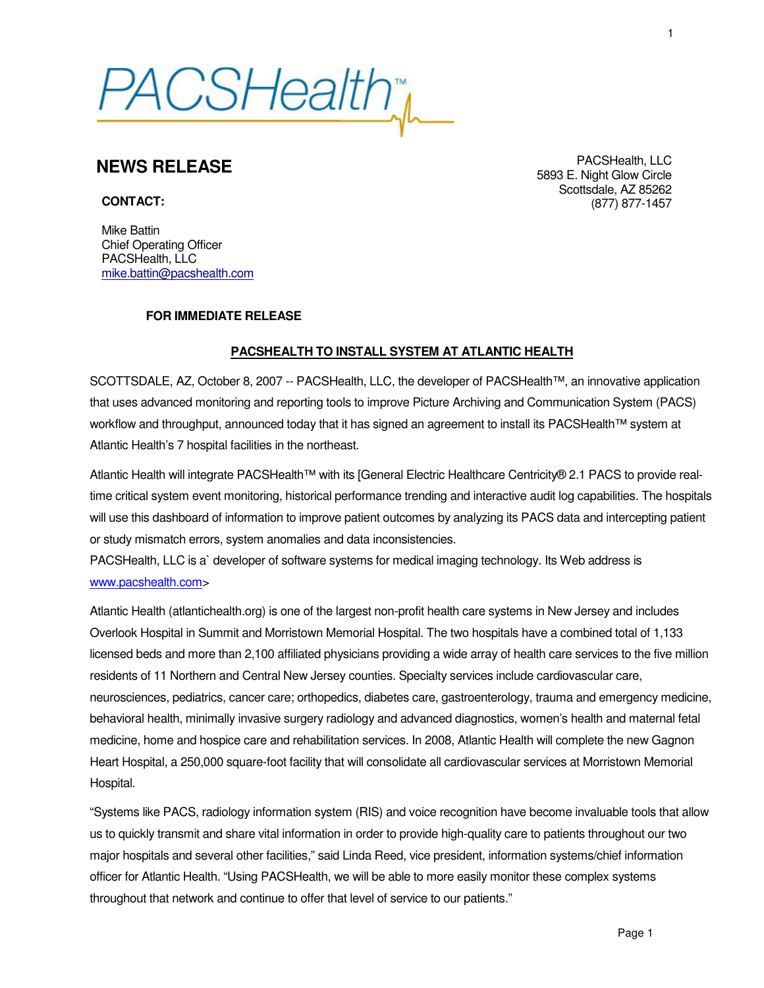*PACSHealth*\*

## **NEWS RELEASE**

**CONTACT:**

PACSHealth, LLC 5893 E. Night Glow Circle Scottsdale, AZ 85262 (877) 877-1457

Mike Battin Chief Operating Officer PACSHealth, LLC mike.battin@pacshealth.com

## **FOR IMMEDIATE RELEASE**

## **PACSHEALTH TO INSTALL SYSTEM AT ATLANTIC HEALTH**

SCOTTSDALE, AZ, October 8, 2007 -- PACSHealth, LLC, the developer of PACSHealth™, an innovative application that uses advanced monitoring and reporting tools to improve Picture Archiving and Communication System (PACS) workflow and throughput, announced today that it has signed an agreement to install its PACSHealth™ system at Atlantic Health's 7 hospital facilities in the northeast.

Atlantic Health will integrate PACSHealth™ with its [General Electric Healthcare Centricity® 2.1 PACS to provide realtime critical system event monitoring, historical performance trending and interactive audit log capabilities. The hospitals will use this dashboard of information to improve patient outcomes by analyzing its PACS data and intercepting patient or study mismatch errors, system anomalies and data inconsistencies.

PACSHealth, LLC is a` developer of software systems for medical imaging technology. Its Web address is www.pacshealth.com>

Atlantic Health (atlantichealth.org) is one of the largest non-profit health care systems in New Jersey and includes Overlook Hospital in Summit and Morristown Memorial Hospital. The two hospitals have a combined total of 1,133 licensed beds and more than 2,100 affiliated physicians providing a wide array of health care services to the five million residents of 11 Northern and Central New Jersey counties. Specialty services include cardiovascular care, neurosciences, pediatrics, cancer care; orthopedics, diabetes care, gastroenterology, trauma and emergency medicine, behavioral health, minimally invasive surgery radiology and advanced diagnostics, women's health and maternal fetal medicine, home and hospice care and rehabilitation services. In 2008, Atlantic Health will complete the new Gagnon Heart Hospital, a 250,000 square-foot facility that will consolidate all cardiovascular services at Morristown Memorial Hospital.

"Systems like PACS, radiology information system (RIS) and voice recognition have become invaluable tools that allow us to quickly transmit and share vital information in order to provide high-quality care to patients throughout our two major hospitals and several other facilities," said Linda Reed, vice president, information systems/chief information officer for Atlantic Health. "Using PACSHealth, we will be able to more easily monitor these complex systems throughout that network and continue to offer that level of service to our patients."